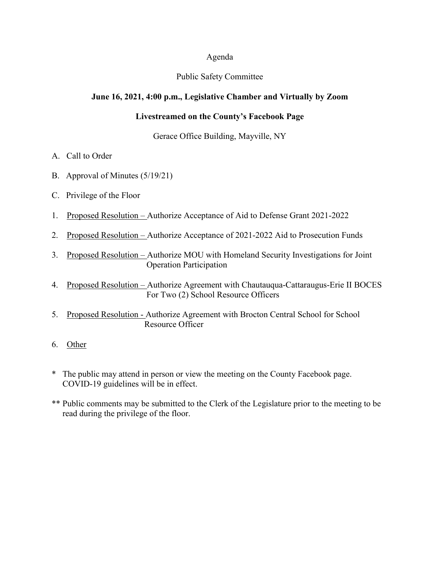### Agenda

## Public Safety Committee

## **June 16, 2021, 4:00 p.m., Legislative Chamber and Virtually by Zoom**

# **Livestreamed on the County's Facebook Page**

Gerace Office Building, Mayville, NY

- A. Call to Order
- B. Approval of Minutes (5/19/21)
- C. Privilege of the Floor
- 1. Proposed Resolution Authorize Acceptance of Aid to Defense Grant 2021-2022
- 2. Proposed Resolution Authorize Acceptance of 2021-2022 Aid to Prosecution Funds
- 3. Proposed Resolution Authorize MOU with Homeland Security Investigations for Joint Operation Participation
- 4. Proposed Resolution Authorize Agreement with Chautauqua-Cattaraugus-Erie II BOCES For Two (2) School Resource Officers
- 5. Proposed Resolution Authorize Agreement with Brocton Central School for School Resource Officer
- 6. Other
- \* The public may attend in person or view the meeting on the County Facebook page. COVID-19 guidelines will be in effect.
- \*\* Public comments may be submitted to the Clerk of the Legislature prior to the meeting to be read during the privilege of the floor.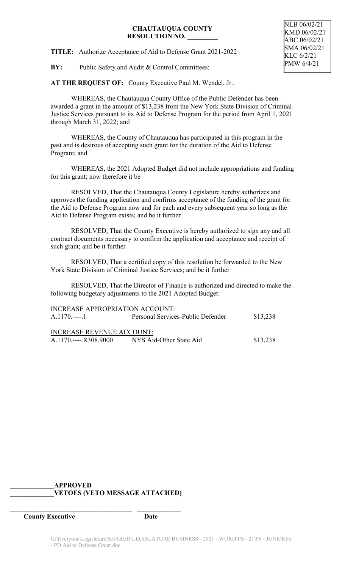### **CHAUTAUQUA COUNTY RESOLUTION NO. \_\_\_\_\_\_\_\_\_**

**TITLE:** Authorize Acceptance of Aid to Defense Grant 2021-2022

**BY:** Public Safety and Audit & Control Committees:

**AT THE REQUEST OF:** County Executive Paul M. Wendel, Jr.:

WHEREAS, the Chautauqua County Office of the Public Defender has been awarded a grant in the amount of \$13,238 from the New York State Division of Criminal Justice Services pursuant to its Aid to Defense Program for the period from April 1, 2021 through March 31, 2022; and

WHEREAS, the County of Chautauqua has participated in this program in the past and is desirous of accepting such grant for the duration of the Aid to Defense Program; and

WHEREAS, the 2021 Adopted Budget did not include appropriations and funding for this grant; now therefore it be

RESOLVED, That the Chautauqua County Legislature hereby authorizes and approves the funding application and confirms acceptance of the funding of the grant for the Aid to Defense Program now and for each and every subsequent year so long as the Aid to Defense Program exists; and be it further

RESOLVED, That the County Executive is hereby authorized to sign any and all contract documents necessary to confirm the application and acceptance and receipt of such grant; and be it further

RESOLVED, That a certified copy of this resolution be forwarded to the New York State Division of Criminal Justice Services; and be it further

RESOLVED, That the Director of Finance is authorized and directed to make the following budgetary adjustments to the 2021 Adopted Budget:

| INCREASE APPROPRIATION ACCOUNT: |                                   |          |
|---------------------------------|-----------------------------------|----------|
| A.1170.----.1                   | Personal Services-Public Defender | \$13,238 |
|                                 |                                   |          |
| INCREASE REVENUE ACCOUNT:       |                                   |          |
| A.1170.----.R308.9000           | NYS Aid-Other State Aid           | \$13,238 |

# **\_\_\_\_\_\_\_\_\_\_\_\_\_APPROVED \_\_\_\_\_\_\_\_\_\_\_\_\_VETOES (VETO MESSAGE ATTACHED)**

**\_\_\_\_\_\_\_\_\_\_\_\_\_\_\_\_\_\_\_\_\_\_\_\_\_\_\_\_\_\_\_\_\_\_\_\_ \_\_\_\_\_\_\_\_\_\_\_\_\_**

**County Executive Date**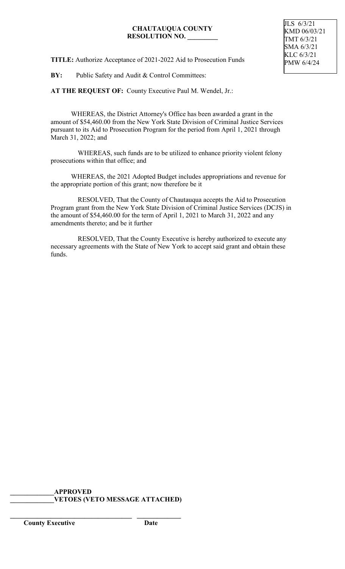## **CHAUTAUQUA COUNTY RESOLUTION NO. \_\_\_\_\_\_\_\_\_**

**TITLE:** Authorize Acceptance of 2021-2022 Aid to Prosecution Funds

**BY:** Public Safety and Audit & Control Committees:

**AT THE REQUEST OF:** County Executive Paul M. Wendel, Jr.:

WHEREAS, the District Attorney's Office has been awarded a grant in the amount of \$54,460.00 from the New York State Division of Criminal Justice Services pursuant to its Aid to Prosecution Program for the period from April 1, 2021 through March 31, 2022; and

 WHEREAS, such funds are to be utilized to enhance priority violent felony prosecutions within that office; and

WHEREAS, the 2021 Adopted Budget includes appropriations and revenue for the appropriate portion of this grant; now therefore be it

 RESOLVED, That the County of Chautauqua accepts the Aid to Prosecution Program grant from the New York State Division of Criminal Justice Services (DCJS) in the amount of \$54,460.00 for the term of April 1, 2021 to March 31, 2022 and any amendments thereto; and be it further

 RESOLVED, That the County Executive is hereby authorized to execute any necessary agreements with the State of New York to accept said grant and obtain these funds.

**\_\_\_\_\_\_\_\_\_\_\_\_\_APPROVED \_\_\_\_\_\_\_\_\_\_\_\_\_VETOES (VETO MESSAGE ATTACHED)**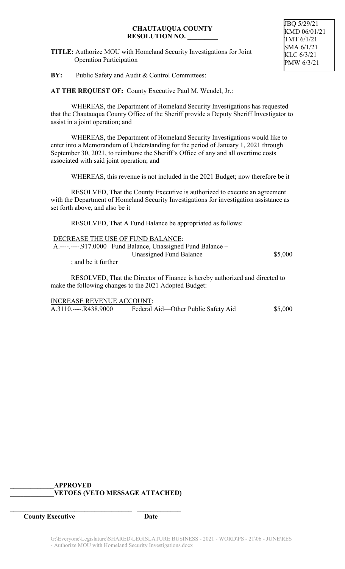### **CHAUTAUQUA COUNTY RESOLUTION NO. \_\_\_\_\_\_\_\_\_**

**TITLE:** Authorize MOU with Homeland Security Investigations for Joint Operation Participation

**BY:** Public Safety and Audit & Control Committees:

**AT THE REQUEST OF:** County Executive Paul M. Wendel, Jr.:

WHEREAS, the Department of Homeland Security Investigations has requested that the Chautauqua County Office of the Sheriff provide a Deputy Sheriff Investigator to assist in a joint operation; and

WHEREAS, the Department of Homeland Security Investigations would like to enter into a Memorandum of Understanding for the period of January 1, 2021 through September 30, 2021, to reimburse the Sheriff's Office of any and all overtime costs associated with said joint operation; and

WHEREAS, this revenue is not included in the 2021 Budget; now therefore be it

RESOLVED, That the County Executive is authorized to execute an agreement with the Department of Homeland Security Investigations for investigation assistance as set forth above, and also be it

RESOLVED, That A Fund Balance be appropriated as follows:

|                     | DECREASE THE USE OF FUND BALANCE:                            |         |
|---------------------|--------------------------------------------------------------|---------|
|                     | A.----.----.917.0000 Fund Balance, Unassigned Fund Balance – |         |
|                     | Unassigned Fund Balance                                      | \$5,000 |
| ; and be it further |                                                              |         |

RESOLVED, That the Director of Finance is hereby authorized and directed to make the following changes to the 2021 Adopted Budget:

INCREASE REVENUE ACCOUNT: A.3110.----.R438.9000 Federal Aid—Other Public Safety Aid \$5,000

## **\_\_\_\_\_\_\_\_\_\_\_\_\_APPROVED \_\_\_\_\_\_\_\_\_\_\_\_\_VETOES (VETO MESSAGE ATTACHED)**

**\_\_\_\_\_\_\_\_\_\_\_\_\_\_\_\_\_\_\_\_\_\_\_\_\_\_\_\_\_\_\_\_\_\_\_\_ \_\_\_\_\_\_\_\_\_\_\_\_\_**

**County Executive Date**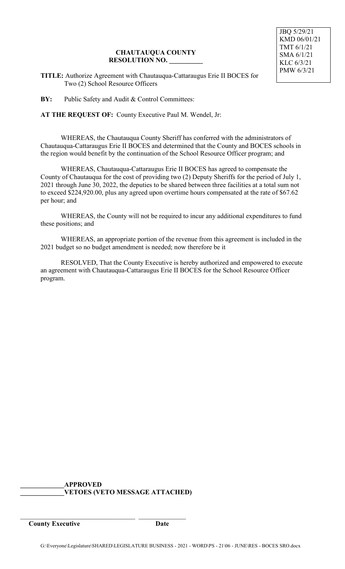## **CHAUTAUQUA COUNTY RESOLUTION NO. \_\_\_\_\_\_\_\_\_\_**

**TITLE:** Authorize Agreement with Chautauqua-Cattaraugus Erie II BOCES for Two (2) School Resource Officers

**BY:** Public Safety and Audit & Control Committees:

**AT THE REQUEST OF:** County Executive Paul M. Wendel, Jr:

WHEREAS, the Chautauqua County Sheriff has conferred with the administrators of Chautauqua-Cattaraugus Erie II BOCES and determined that the County and BOCES schools in the region would benefit by the continuation of the School Resource Officer program; and

WHEREAS, Chautauqua-Cattaraugus Erie II BOCES has agreed to compensate the County of Chautauqua for the cost of providing two (2) Deputy Sheriffs for the period of July 1, 2021 through June 30, 2022, the deputies to be shared between three facilities at a total sum not to exceed \$224,920.00, plus any agreed upon overtime hours compensated at the rate of \$67.62 per hour; and

WHEREAS, the County will not be required to incur any additional expenditures to fund these positions; and

WHEREAS, an appropriate portion of the revenue from this agreement is included in the 2021 budget so no budget amendment is needed; now therefore be it

RESOLVED, That the County Executive is hereby authorized and empowered to execute an agreement with Chautauqua-Cattaraugus Erie II BOCES for the School Resource Officer program.

**\_\_\_\_\_\_\_\_\_\_\_\_\_APPROVED \_\_\_\_\_\_\_\_\_\_\_\_\_VETOES (VETO MESSAGE ATTACHED)**

\_\_\_\_\_\_\_\_\_\_\_\_\_\_\_\_\_\_\_\_\_\_\_\_\_\_\_\_\_\_\_\_\_\_ \_\_\_\_\_\_\_\_\_\_\_\_\_\_

**County Executive Date**

JBQ 5/29/21 KMD 06/01/21 TMT 6/1/21 SMA 6/1/21 KLC 6/3/21 PMW 6/3/21